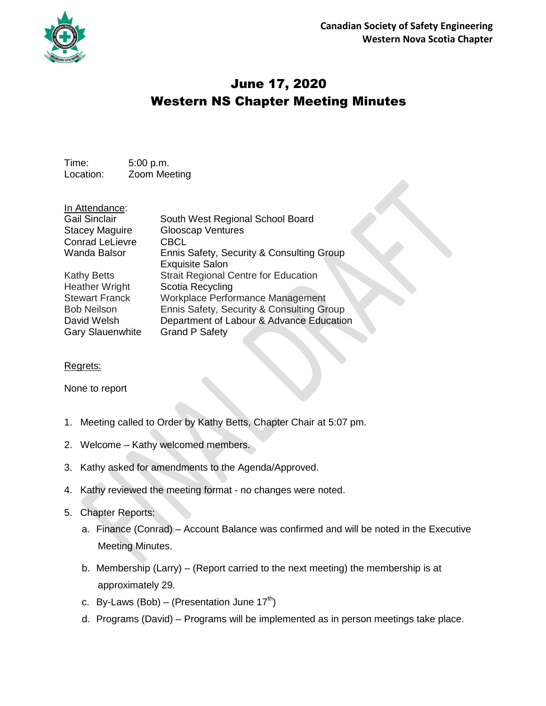

## June 17, 2020 Western NS Chapter Meeting Minutes

Time: 5:00 p.m. Location: Zoom Meeting

In Attendance: Conrad LeLievre CBCL

Gail Sinclair South West Regional School Board Stacey Maguire Glooscap Ventures Wanda Balsor Ennis Safety, Security & Consulting Group Exquisite Salon Kathy Betts **Strait Regional Centre for Education** Heather Wright Scotia Recycling Stewart Franck Workplace Performance Management Bob Neilson Ennis Safety, Security & Consulting Group David Welsh Department of Labour & Advance Education Gary Slauenwhite Grand P Safety

## Regrets:

None to report

- 1. Meeting called to Order by Kathy Betts, Chapter Chair at 5:07 pm.
- 2. Welcome Kathy welcomed members.
- 3. Kathy asked for amendments to the Agenda/Approved.
- 4. Kathy reviewed the meeting format no changes were noted.
- 5. Chapter Reports:
	- a. Finance (Conrad) Account Balance was confirmed and will be noted in the Executive Meeting Minutes.
	- b. Membership (Larry) (Report carried to the next meeting) the membership is at approximately 29.
	- c. By-Laws (Bob) (Presentation June 17<sup>th</sup>)
	- d. Programs (David) Programs will be implemented as in person meetings take place.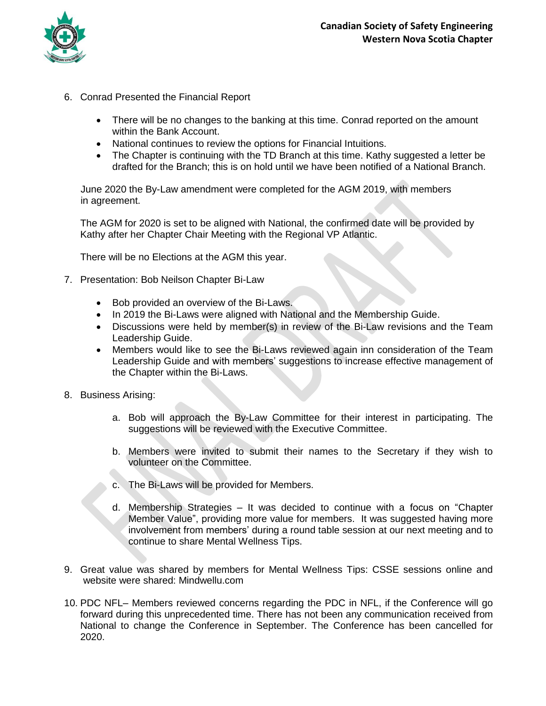

- 6. Conrad Presented the Financial Report
	- There will be no changes to the banking at this time. Conrad reported on the amount within the Bank Account.
	- National continues to review the options for Financial Intuitions.
	- The Chapter is continuing with the TD Branch at this time. Kathy suggested a letter be drafted for the Branch; this is on hold until we have been notified of a National Branch.

 June 2020 the By-Law amendment were completed for the AGM 2019, with members in agreement.

The AGM for 2020 is set to be aligned with National, the confirmed date will be provided by Kathy after her Chapter Chair Meeting with the Regional VP Atlantic.

There will be no Elections at the AGM this year.

- 7. Presentation: Bob Neilson Chapter Bi-Law
	- Bob provided an overview of the Bi-Laws.
	- In 2019 the Bi-Laws were aligned with National and the Membership Guide.
	- Discussions were held by member(s) in review of the Bi-Law revisions and the Team Leadership Guide.
	- Members would like to see the Bi-Laws reviewed again inn consideration of the Team Leadership Guide and with members' suggestions to increase effective management of the Chapter within the Bi-Laws.
- 8. Business Arising:
	- a. Bob will approach the By-Law Committee for their interest in participating. The suggestions will be reviewed with the Executive Committee.
	- b. Members were invited to submit their names to the Secretary if they wish to volunteer on the Committee.
	- c. The Bi-Laws will be provided for Members.
	- d. Membership Strategies It was decided to continue with a focus on "Chapter Member Value", providing more value for members. It was suggested having more involvement from members' during a round table session at our next meeting and to continue to share Mental Wellness Tips.
- 9. Great value was shared by members for Mental Wellness Tips: CSSE sessions online and website were shared: Mindwellu.com
- 10. PDC NFL– Members reviewed concerns regarding the PDC in NFL, if the Conference will go forward during this unprecedented time. There has not been any communication received from National to change the Conference in September. The Conference has been cancelled for 2020.